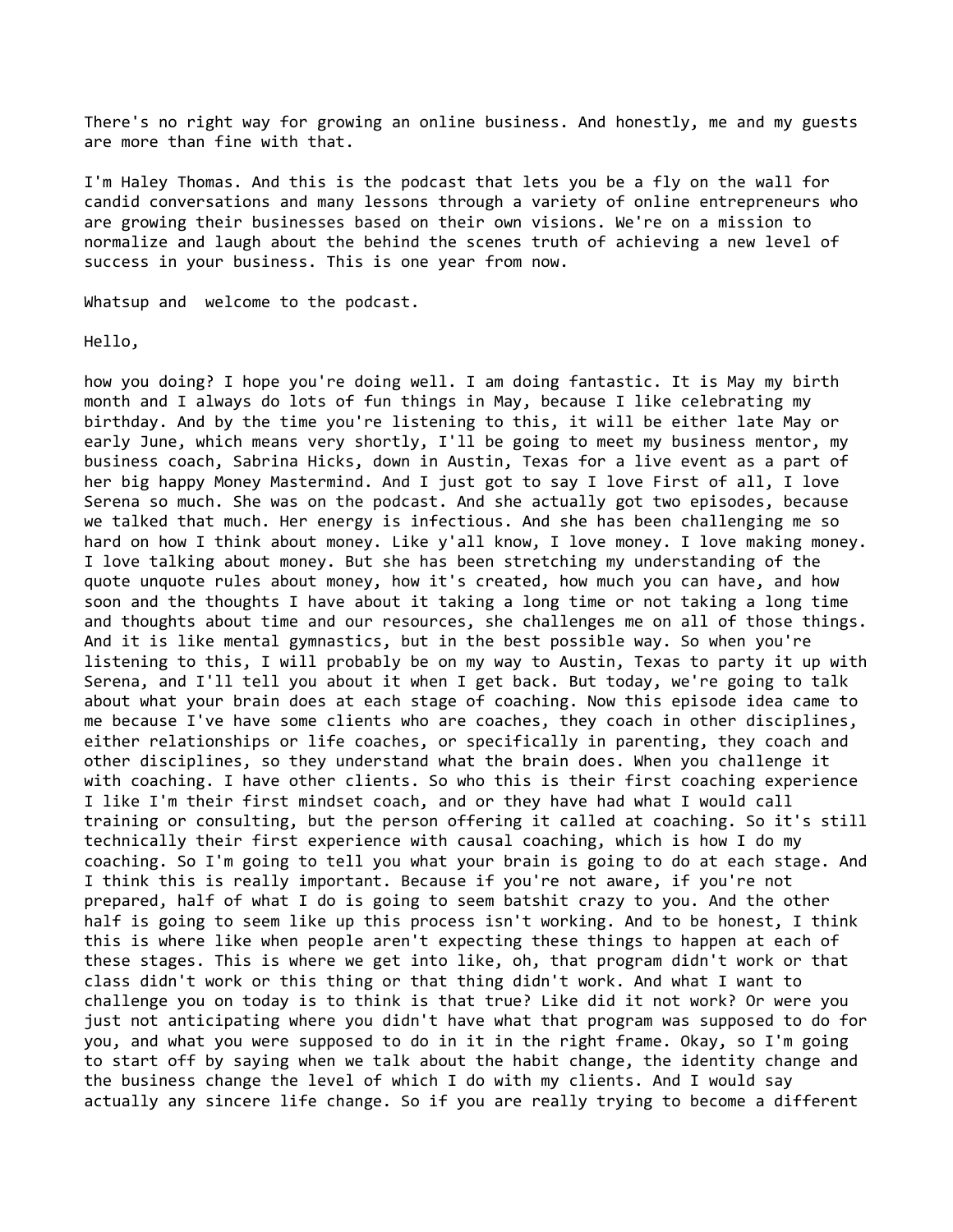There's no right way for growing an online business. And honestly, me and my guests are more than fine with that.

I'm Haley Thomas. And this is the podcast that lets you be a fly on the wall for candid conversations and many lessons through a variety of online entrepreneurs who are growing their businesses based on their own visions. We're on a mission to normalize and laugh about the behind the scenes truth of achieving a new level of success in your business. This is one year from now.

Whatsup and welcome to the podcast.

Hello,

how you doing? I hope you're doing well. I am doing fantastic. It is May my birth month and I always do lots of fun things in May, because I like celebrating my birthday. And by the time you're listening to this, it will be either late May or early June, which means very shortly, I'll be going to meet my business mentor, my business coach, Sabrina Hicks, down in Austin, Texas for a live event as a part of her big happy Money Mastermind. And I just got to say I love First of all, I love Serena so much. She was on the podcast. And she actually got two episodes, because we talked that much. Her energy is infectious. And she has been challenging me so hard on how I think about money. Like y'all know, I love money. I love making money. I love talking about money. But she has been stretching my understanding of the quote unquote rules about money, how it's created, how much you can have, and how soon and the thoughts I have about it taking a long time or not taking a long time and thoughts about time and our resources, she challenges me on all of those things. And it is like mental gymnastics, but in the best possible way. So when you're listening to this, I will probably be on my way to Austin, Texas to party it up with Serena, and I'll tell you about it when I get back. But today, we're going to talk about what your brain does at each stage of coaching. Now this episode idea came to me because I've have some clients who are coaches, they coach in other disciplines, either relationships or life coaches, or specifically in parenting, they coach and other disciplines, so they understand what the brain does. When you challenge it with coaching. I have other clients. So who this is their first coaching experience I like I'm their first mindset coach, and or they have had what I would call training or consulting, but the person offering it called at coaching. So it's still technically their first experience with causal coaching, which is how I do my coaching. So I'm going to tell you what your brain is going to do at each stage. And I think this is really important. Because if you're not aware, if you're not prepared, half of what I do is going to seem batshit crazy to you. And the other half is going to seem like up this process isn't working. And to be honest, I think this is where like when people aren't expecting these things to happen at each of these stages. This is where we get into like, oh, that program didn't work or that class didn't work or this thing or that thing didn't work. And what I want to challenge you on today is to think is that true? Like did it not work? Or were you just not anticipating where you didn't have what that program was supposed to do for you, and what you were supposed to do in it in the right frame. Okay, so I'm going to start off by saying when we talk about the habit change, the identity change and the business change the level of which I do with my clients. And I would say actually any sincere life change. So if you are really trying to become a different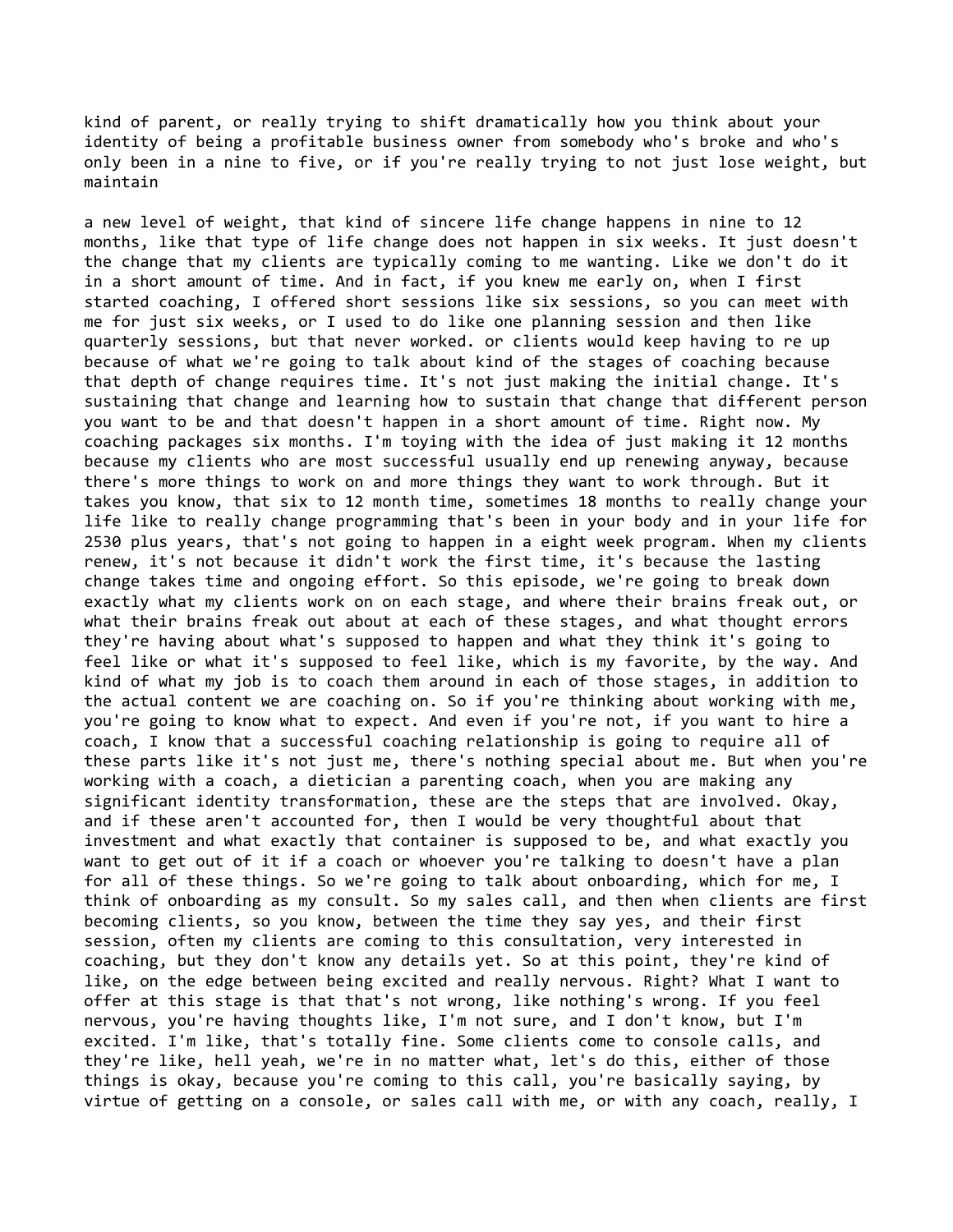kind of parent, or really trying to shift dramatically how you think about your identity of being a profitable business owner from somebody who's broke and who's only been in a nine to five, or if you're really trying to not just lose weight, but maintain

a new level of weight, that kind of sincere life change happens in nine to 12 months, like that type of life change does not happen in six weeks. It just doesn't the change that my clients are typically coming to me wanting. Like we don't do it in a short amount of time. And in fact, if you knew me early on, when I first started coaching, I offered short sessions like six sessions, so you can meet with me for just six weeks, or I used to do like one planning session and then like quarterly sessions, but that never worked. or clients would keep having to re up because of what we're going to talk about kind of the stages of coaching because that depth of change requires time. It's not just making the initial change. It's sustaining that change and learning how to sustain that change that different person you want to be and that doesn't happen in a short amount of time. Right now. My coaching packages six months. I'm toying with the idea of just making it 12 months because my clients who are most successful usually end up renewing anyway, because there's more things to work on and more things they want to work through. But it takes you know, that six to 12 month time, sometimes 18 months to really change your life like to really change programming that's been in your body and in your life for 2530 plus years, that's not going to happen in a eight week program. When my clients renew, it's not because it didn't work the first time, it's because the lasting change takes time and ongoing effort. So this episode, we're going to break down exactly what my clients work on on each stage, and where their brains freak out, or what their brains freak out about at each of these stages, and what thought errors they're having about what's supposed to happen and what they think it's going to feel like or what it's supposed to feel like, which is my favorite, by the way. And kind of what my job is to coach them around in each of those stages, in addition to the actual content we are coaching on. So if you're thinking about working with me, you're going to know what to expect. And even if you're not, if you want to hire a coach, I know that a successful coaching relationship is going to require all of these parts like it's not just me, there's nothing special about me. But when you're working with a coach, a dietician a parenting coach, when you are making any significant identity transformation, these are the steps that are involved. Okay, and if these aren't accounted for, then I would be very thoughtful about that investment and what exactly that container is supposed to be, and what exactly you want to get out of it if a coach or whoever you're talking to doesn't have a plan for all of these things. So we're going to talk about onboarding, which for me, I think of onboarding as my consult. So my sales call, and then when clients are first becoming clients, so you know, between the time they say yes, and their first session, often my clients are coming to this consultation, very interested in coaching, but they don't know any details yet. So at this point, they're kind of like, on the edge between being excited and really nervous. Right? What I want to offer at this stage is that that's not wrong, like nothing's wrong. If you feel nervous, you're having thoughts like, I'm not sure, and I don't know, but I'm excited. I'm like, that's totally fine. Some clients come to console calls, and they're like, hell yeah, we're in no matter what, let's do this, either of those things is okay, because you're coming to this call, you're basically saying, by virtue of getting on a console, or sales call with me, or with any coach, really, I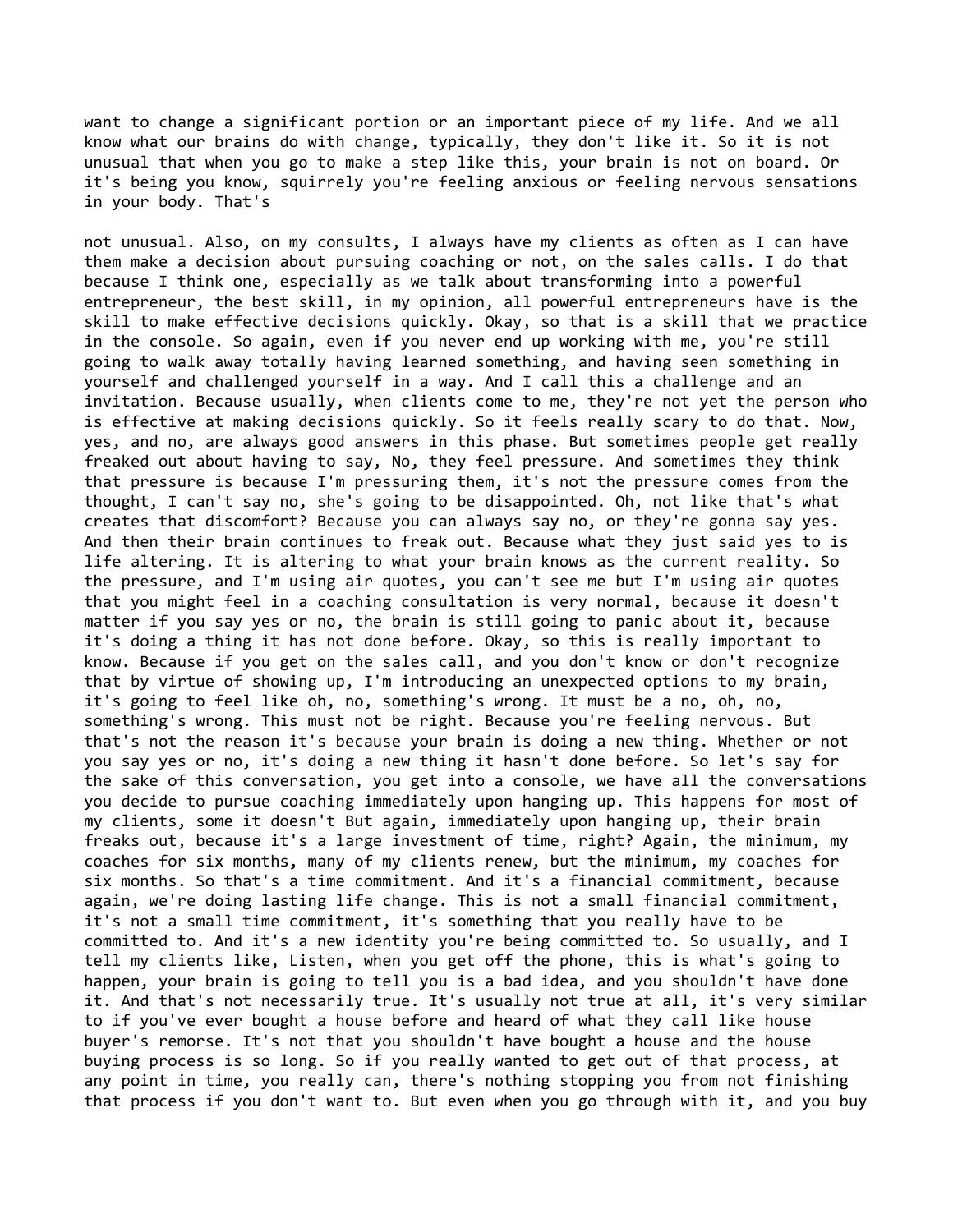want to change a significant portion or an important piece of my life. And we all know what our brains do with change, typically, they don't like it. So it is not unusual that when you go to make a step like this, your brain is not on board. Or it's being you know, squirrely you're feeling anxious or feeling nervous sensations in your body. That's

not unusual. Also, on my consults, I always have my clients as often as I can have them make a decision about pursuing coaching or not, on the sales calls. I do that because I think one, especially as we talk about transforming into a powerful entrepreneur, the best skill, in my opinion, all powerful entrepreneurs have is the skill to make effective decisions quickly. Okay, so that is a skill that we practice in the console. So again, even if you never end up working with me, you're still going to walk away totally having learned something, and having seen something in yourself and challenged yourself in a way. And I call this a challenge and an invitation. Because usually, when clients come to me, they're not yet the person who is effective at making decisions quickly. So it feels really scary to do that. Now, yes, and no, are always good answers in this phase. But sometimes people get really freaked out about having to say, No, they feel pressure. And sometimes they think that pressure is because I'm pressuring them, it's not the pressure comes from the thought, I can't say no, she's going to be disappointed. Oh, not like that's what creates that discomfort? Because you can always say no, or they're gonna say yes. And then their brain continues to freak out. Because what they just said yes to is life altering. It is altering to what your brain knows as the current reality. So the pressure, and I'm using air quotes, you can't see me but I'm using air quotes that you might feel in a coaching consultation is very normal, because it doesn't matter if you say yes or no, the brain is still going to panic about it, because it's doing a thing it has not done before. Okay, so this is really important to know. Because if you get on the sales call, and you don't know or don't recognize that by virtue of showing up, I'm introducing an unexpected options to my brain, it's going to feel like oh, no, something's wrong. It must be a no, oh, no, something's wrong. This must not be right. Because you're feeling nervous. But that's not the reason it's because your brain is doing a new thing. Whether or not you say yes or no, it's doing a new thing it hasn't done before. So let's say for the sake of this conversation, you get into a console, we have all the conversations you decide to pursue coaching immediately upon hanging up. This happens for most of my clients, some it doesn't But again, immediately upon hanging up, their brain freaks out, because it's a large investment of time, right? Again, the minimum, my coaches for six months, many of my clients renew, but the minimum, my coaches for six months. So that's a time commitment. And it's a financial commitment, because again, we're doing lasting life change. This is not a small financial commitment, it's not a small time commitment, it's something that you really have to be committed to. And it's a new identity you're being committed to. So usually, and I tell my clients like, Listen, when you get off the phone, this is what's going to happen, your brain is going to tell you is a bad idea, and you shouldn't have done it. And that's not necessarily true. It's usually not true at all, it's very similar to if you've ever bought a house before and heard of what they call like house buyer's remorse. It's not that you shouldn't have bought a house and the house buying process is so long. So if you really wanted to get out of that process, at any point in time, you really can, there's nothing stopping you from not finishing that process if you don't want to. But even when you go through with it, and you buy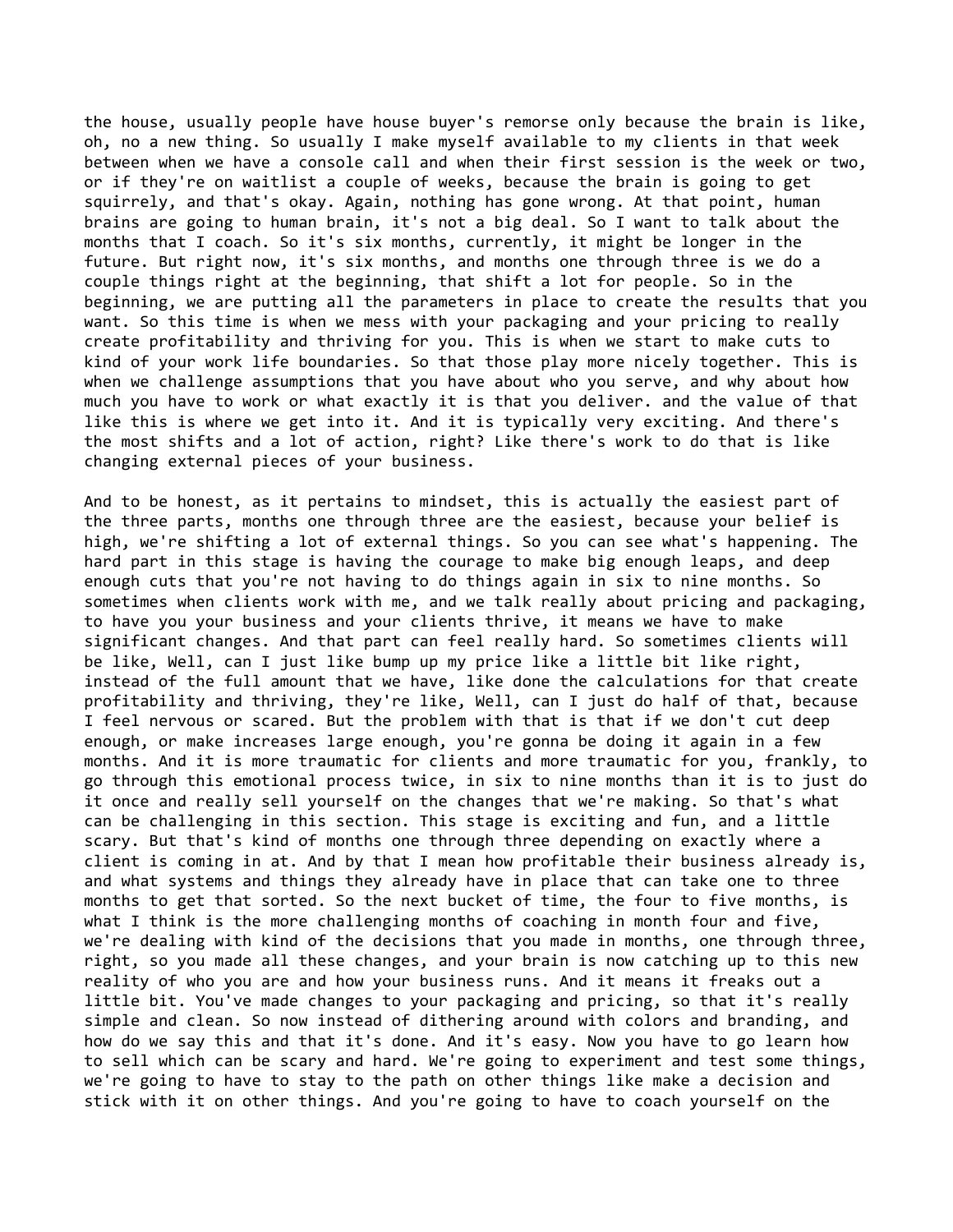the house, usually people have house buyer's remorse only because the brain is like, oh, no a new thing. So usually I make myself available to my clients in that week between when we have a console call and when their first session is the week or two, or if they're on waitlist a couple of weeks, because the brain is going to get squirrely, and that's okay. Again, nothing has gone wrong. At that point, human brains are going to human brain, it's not a big deal. So I want to talk about the months that I coach. So it's six months, currently, it might be longer in the future. But right now, it's six months, and months one through three is we do a couple things right at the beginning, that shift a lot for people. So in the beginning, we are putting all the parameters in place to create the results that you want. So this time is when we mess with your packaging and your pricing to really create profitability and thriving for you. This is when we start to make cuts to kind of your work life boundaries. So that those play more nicely together. This is when we challenge assumptions that you have about who you serve, and why about how much you have to work or what exactly it is that you deliver. and the value of that like this is where we get into it. And it is typically very exciting. And there's the most shifts and a lot of action, right? Like there's work to do that is like changing external pieces of your business.

And to be honest, as it pertains to mindset, this is actually the easiest part of the three parts, months one through three are the easiest, because your belief is high, we're shifting a lot of external things. So you can see what's happening. The hard part in this stage is having the courage to make big enough leaps, and deep enough cuts that you're not having to do things again in six to nine months. So sometimes when clients work with me, and we talk really about pricing and packaging, to have you your business and your clients thrive, it means we have to make significant changes. And that part can feel really hard. So sometimes clients will be like, Well, can I just like bump up my price like a little bit like right, instead of the full amount that we have, like done the calculations for that create profitability and thriving, they're like, Well, can I just do half of that, because I feel nervous or scared. But the problem with that is that if we don't cut deep enough, or make increases large enough, you're gonna be doing it again in a few months. And it is more traumatic for clients and more traumatic for you, frankly, to go through this emotional process twice, in six to nine months than it is to just do it once and really sell yourself on the changes that we're making. So that's what can be challenging in this section. This stage is exciting and fun, and a little scary. But that's kind of months one through three depending on exactly where a client is coming in at. And by that I mean how profitable their business already is, and what systems and things they already have in place that can take one to three months to get that sorted. So the next bucket of time, the four to five months, is what I think is the more challenging months of coaching in month four and five, we're dealing with kind of the decisions that you made in months, one through three, right, so you made all these changes, and your brain is now catching up to this new reality of who you are and how your business runs. And it means it freaks out a little bit. You've made changes to your packaging and pricing, so that it's really simple and clean. So now instead of dithering around with colors and branding, and how do we say this and that it's done. And it's easy. Now you have to go learn how to sell which can be scary and hard. We're going to experiment and test some things, we're going to have to stay to the path on other things like make a decision and stick with it on other things. And you're going to have to coach yourself on the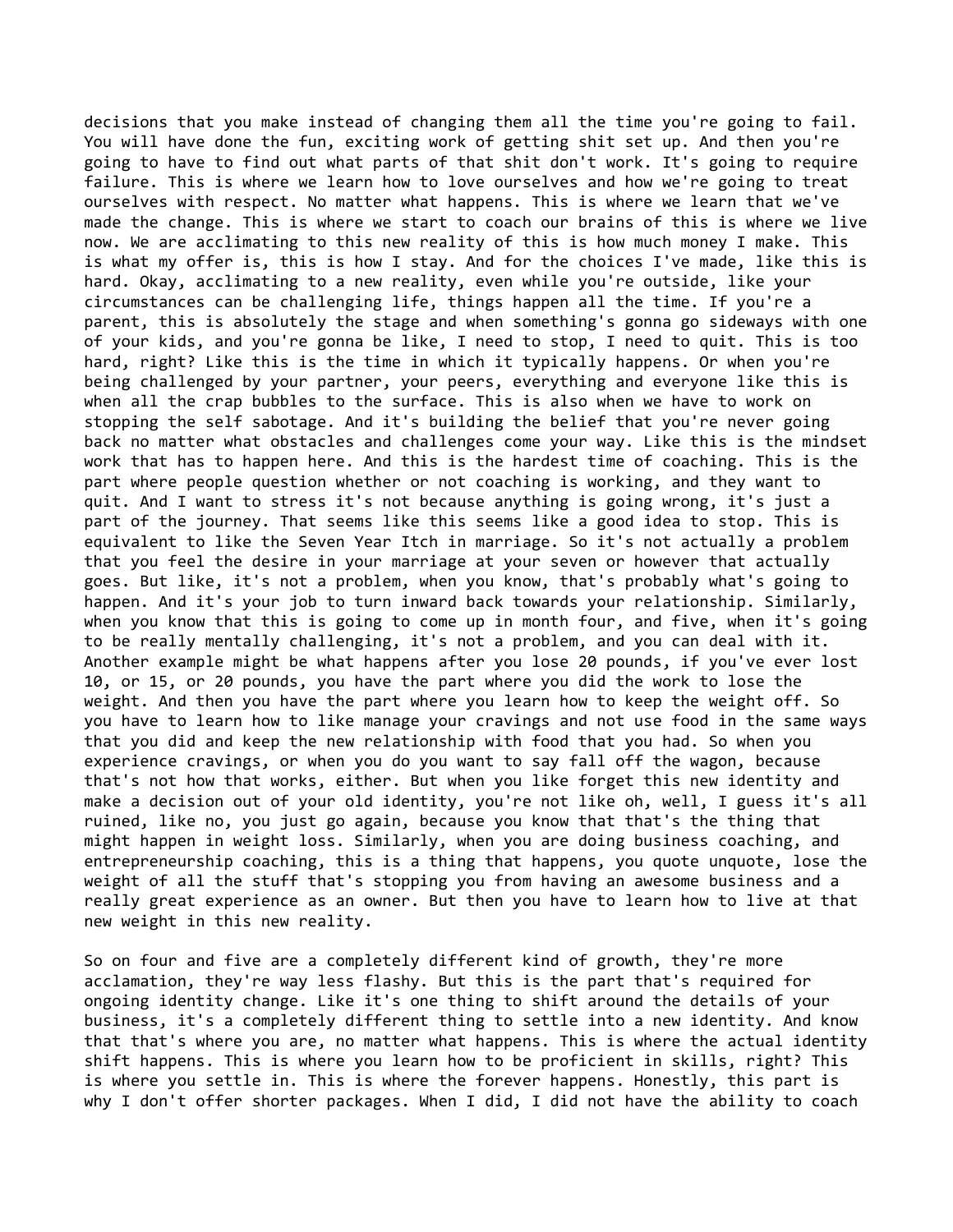decisions that you make instead of changing them all the time you're going to fail. You will have done the fun, exciting work of getting shit set up. And then you're going to have to find out what parts of that shit don't work. It's going to require failure. This is where we learn how to love ourselves and how we're going to treat ourselves with respect. No matter what happens. This is where we learn that we've made the change. This is where we start to coach our brains of this is where we live now. We are acclimating to this new reality of this is how much money I make. This is what my offer is, this is how I stay. And for the choices I've made, like this is hard. Okay, acclimating to a new reality, even while you're outside, like your circumstances can be challenging life, things happen all the time. If you're a parent, this is absolutely the stage and when something's gonna go sideways with one of your kids, and you're gonna be like, I need to stop, I need to quit. This is too hard, right? Like this is the time in which it typically happens. Or when you're being challenged by your partner, your peers, everything and everyone like this is when all the crap bubbles to the surface. This is also when we have to work on stopping the self sabotage. And it's building the belief that you're never going back no matter what obstacles and challenges come your way. Like this is the mindset work that has to happen here. And this is the hardest time of coaching. This is the part where people question whether or not coaching is working, and they want to quit. And I want to stress it's not because anything is going wrong, it's just a part of the journey. That seems like this seems like a good idea to stop. This is equivalent to like the Seven Year Itch in marriage. So it's not actually a problem that you feel the desire in your marriage at your seven or however that actually goes. But like, it's not a problem, when you know, that's probably what's going to happen. And it's your job to turn inward back towards your relationship. Similarly, when you know that this is going to come up in month four, and five, when it's going to be really mentally challenging, it's not a problem, and you can deal with it. Another example might be what happens after you lose 20 pounds, if you've ever lost 10, or 15, or 20 pounds, you have the part where you did the work to lose the weight. And then you have the part where you learn how to keep the weight off. So you have to learn how to like manage your cravings and not use food in the same ways that you did and keep the new relationship with food that you had. So when you experience cravings, or when you do you want to say fall off the wagon, because that's not how that works, either. But when you like forget this new identity and make a decision out of your old identity, you're not like oh, well, I guess it's all ruined, like no, you just go again, because you know that that's the thing that might happen in weight loss. Similarly, when you are doing business coaching, and entrepreneurship coaching, this is a thing that happens, you quote unquote, lose the weight of all the stuff that's stopping you from having an awesome business and a really great experience as an owner. But then you have to learn how to live at that new weight in this new reality.

So on four and five are a completely different kind of growth, they're more acclamation, they're way less flashy. But this is the part that's required for ongoing identity change. Like it's one thing to shift around the details of your business, it's a completely different thing to settle into a new identity. And know that that's where you are, no matter what happens. This is where the actual identity shift happens. This is where you learn how to be proficient in skills, right? This is where you settle in. This is where the forever happens. Honestly, this part is why I don't offer shorter packages. When I did, I did not have the ability to coach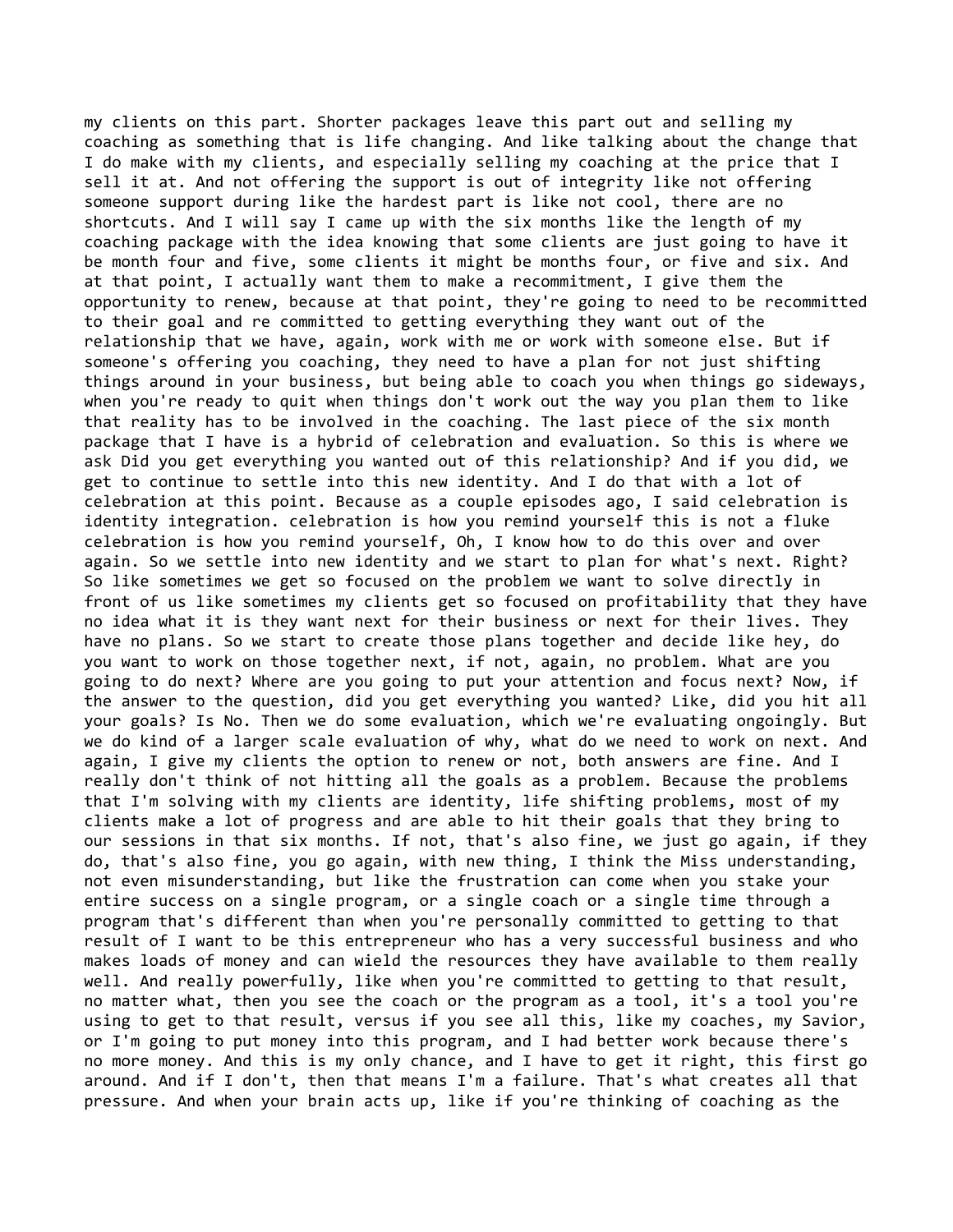my clients on this part. Shorter packages leave this part out and selling my coaching as something that is life changing. And like talking about the change that I do make with my clients, and especially selling my coaching at the price that I sell it at. And not offering the support is out of integrity like not offering someone support during like the hardest part is like not cool, there are no shortcuts. And I will say I came up with the six months like the length of my coaching package with the idea knowing that some clients are just going to have it be month four and five, some clients it might be months four, or five and six. And at that point, I actually want them to make a recommitment, I give them the opportunity to renew, because at that point, they're going to need to be recommitted to their goal and re committed to getting everything they want out of the relationship that we have, again, work with me or work with someone else. But if someone's offering you coaching, they need to have a plan for not just shifting things around in your business, but being able to coach you when things go sideways, when you're ready to quit when things don't work out the way you plan them to like that reality has to be involved in the coaching. The last piece of the six month package that I have is a hybrid of celebration and evaluation. So this is where we ask Did you get everything you wanted out of this relationship? And if you did, we get to continue to settle into this new identity. And I do that with a lot of celebration at this point. Because as a couple episodes ago, I said celebration is identity integration. celebration is how you remind yourself this is not a fluke celebration is how you remind yourself, Oh, I know how to do this over and over again. So we settle into new identity and we start to plan for what's next. Right? So like sometimes we get so focused on the problem we want to solve directly in front of us like sometimes my clients get so focused on profitability that they have no idea what it is they want next for their business or next for their lives. They have no plans. So we start to create those plans together and decide like hey, do you want to work on those together next, if not, again, no problem. What are you going to do next? Where are you going to put your attention and focus next? Now, if the answer to the question, did you get everything you wanted? Like, did you hit all your goals? Is No. Then we do some evaluation, which we're evaluating ongoingly. But we do kind of a larger scale evaluation of why, what do we need to work on next. And again, I give my clients the option to renew or not, both answers are fine. And I really don't think of not hitting all the goals as a problem. Because the problems that I'm solving with my clients are identity, life shifting problems, most of my clients make a lot of progress and are able to hit their goals that they bring to our sessions in that six months. If not, that's also fine, we just go again, if they do, that's also fine, you go again, with new thing, I think the Miss understanding, not even misunderstanding, but like the frustration can come when you stake your entire success on a single program, or a single coach or a single time through a program that's different than when you're personally committed to getting to that result of I want to be this entrepreneur who has a very successful business and who makes loads of money and can wield the resources they have available to them really well. And really powerfully, like when you're committed to getting to that result, no matter what, then you see the coach or the program as a tool, it's a tool you're using to get to that result, versus if you see all this, like my coaches, my Savior, or I'm going to put money into this program, and I had better work because there's no more money. And this is my only chance, and I have to get it right, this first go around. And if I don't, then that means I'm a failure. That's what creates all that pressure. And when your brain acts up, like if you're thinking of coaching as the